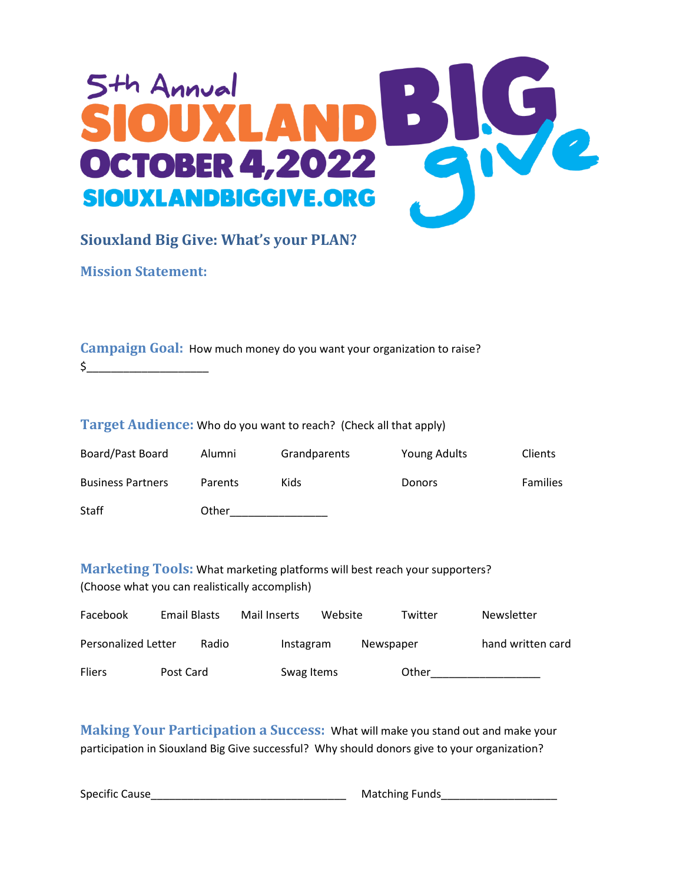

## **Siouxland Big Give: What's your PLAN?**

**Mission Statement:**

| <b>Campaign Goal:</b> How much money do you want your organization to raise? |
|------------------------------------------------------------------------------|
|                                                                              |

## **Target Audience:** Who do you want to reach? (Check all that apply)

| Board/Past Board         | Alumni         | Grandparents | Young Adults  | <b>Clients</b>  |
|--------------------------|----------------|--------------|---------------|-----------------|
| <b>Business Partners</b> | <b>Parents</b> | Kids         | <b>Donors</b> | <b>Families</b> |
| <b>Staff</b>             | Other          |              |               |                 |

**Marketing Tools:** What marketing platforms will best reach your supporters? (Choose what you can realistically accomplish)

| Facebook            | Email Blasts |       | Mail Inserts | Website |           | Twitter | <b>Newsletter</b> |
|---------------------|--------------|-------|--------------|---------|-----------|---------|-------------------|
| Personalized Letter |              | Radio | Instagram    |         | Newspaper |         | hand written card |
| <b>Fliers</b>       | Post Card    |       | Swag Items   |         |           | Other   |                   |

**Making Your Participation a Success:** What will make you stand out and make your participation in Siouxland Big Give successful? Why should donors give to your organization?

Specific Cause\_\_\_\_\_\_\_\_\_\_\_\_\_\_\_\_\_\_\_\_\_\_\_\_\_\_\_\_\_\_\_\_ Matching Funds\_\_\_\_\_\_\_\_\_\_\_\_\_\_\_\_\_\_\_